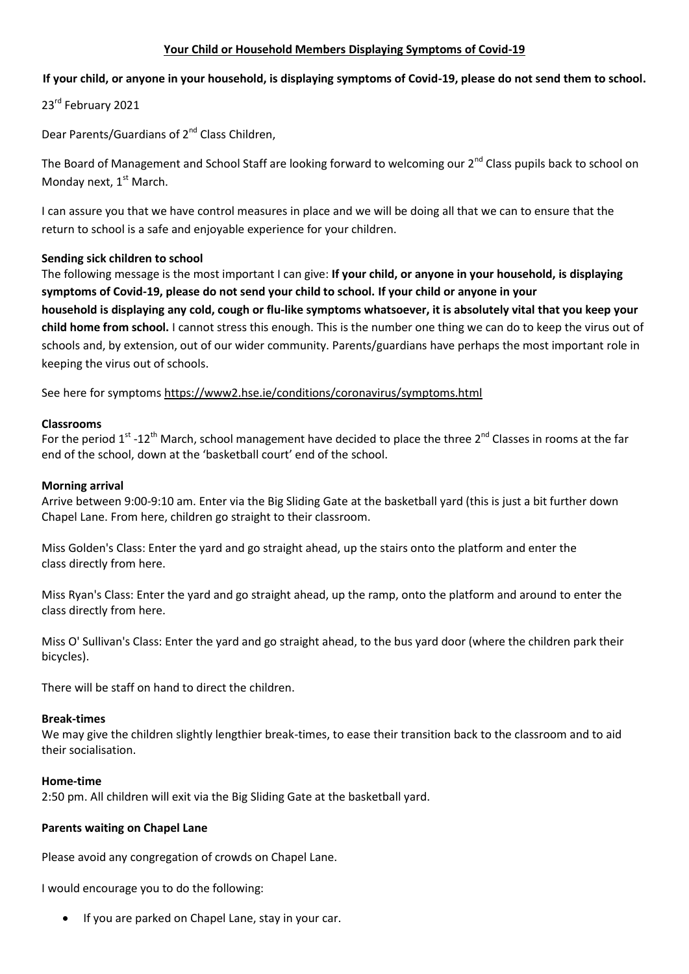## **Your Child or Household Members Displaying Symptoms of Covid-19**

## **If your child, or anyone in your household, is displaying symptoms of Covid-19, please do not send them to school.**

23<sup>rd</sup> February 2021

Dear Parents/Guardians of 2<sup>nd</sup> Class Children,

The Board of Management and School Staff are looking forward to welcoming our 2<sup>nd</sup> Class pupils back to school on Monday next,  $1<sup>st</sup>$  March.

I can assure you that we have control measures in place and we will be doing all that we can to ensure that the return to school is a safe and enjoyable experience for your children.

#### **Sending sick children to school**

The following message is the most important I can give: **If your child, or anyone in your household, is displaying symptoms of Covid-19, please do not send your child to school. If your child or anyone in your household is displaying any cold, cough or flu-like symptoms whatsoever, it is absolutely vital that you keep your child home from school.** I cannot stress this enough. This is the number one thing we can do to keep the virus out of schools and, by extension, out of our wider community. Parents/guardians have perhaps the most important role in keeping the virus out of schools.

See here for symptoms <https://www2.hse.ie/conditions/coronavirus/symptoms.html>

#### **Classrooms**

For the period 1<sup>st</sup> -12<sup>th</sup> March, school management have decided to place the three 2<sup>nd</sup> Classes in rooms at the far end of the school, down at the 'basketball court' end of the school.

#### **Morning arrival**

Arrive between 9:00-9:10 am. Enter via the Big Sliding Gate at the basketball yard (this is just a bit further down Chapel Lane. From here, children go straight to their classroom.

Miss Golden's Class: Enter the yard and go straight ahead, up the stairs onto the platform and enter the class directly from here.

Miss Ryan's Class: Enter the yard and go straight ahead, up the ramp, onto the platform and around to enter the class directly from here.

Miss O' Sullivan's Class: Enter the yard and go straight ahead, to the bus yard door (where the children park their bicycles).

There will be staff on hand to direct the children.

#### **Break-times**

We may give the children slightly lengthier break-times, to ease their transition back to the classroom and to aid their socialisation.

#### **Home-time**

2:50 pm. All children will exit via the Big Sliding Gate at the basketball yard.

#### **Parents waiting on Chapel Lane**

Please avoid any congregation of crowds on Chapel Lane.

I would encourage you to do the following:

• If you are parked on Chapel Lane, stay in your car.